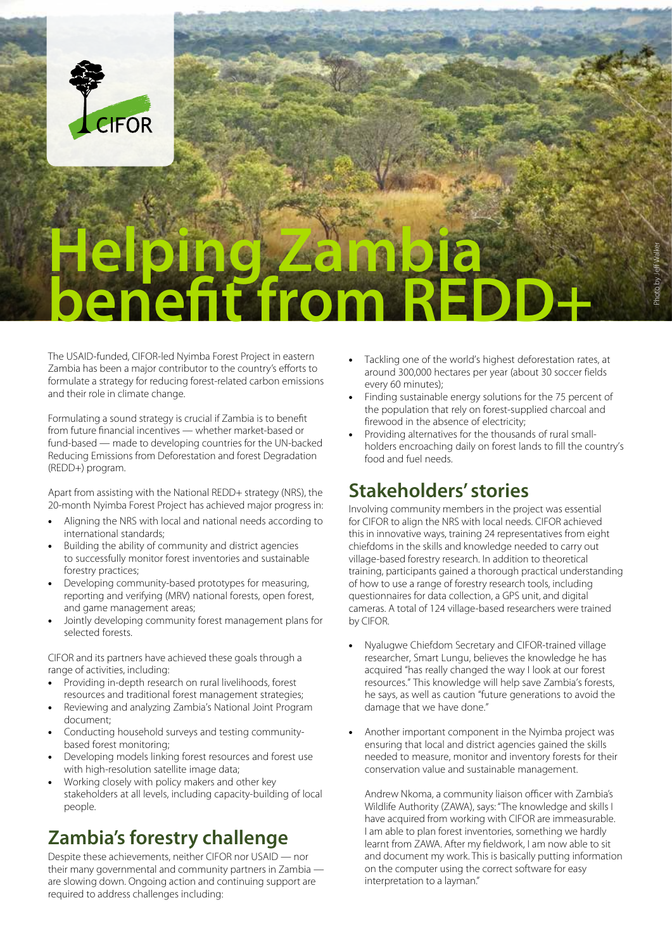

# **Helping Zambia benefit from REDD+**

The USAID-funded, CIFOR-led Nyimba Forest Project in eastern Zambia has been a major contributor to the country's efforts to formulate a strategy for reducing forest-related carbon emissions and their role in climate change.

Formulating a sound strategy is crucial if Zambia is to benefit from future financial incentives — whether market-based or fund-based — made to developing countries for the UN-backed Reducing Emissions from Deforestation and forest Degradation (REDD+) program.

Apart from assisting with the National REDD+ strategy (NRS), the 20-month Nyimba Forest Project has achieved major progress in:

- Aligning the NRS with local and national needs according to international standards;
- Building the ability of community and district agencies to successfully monitor forest inventories and sustainable forestry practices;
- Developing community-based prototypes for measuring, reporting and verifying (MRV) national forests, open forest, and game management areas;
- Jointly developing community forest management plans for selected forests.

CIFOR and its partners have achieved these goals through a range of activities, including:

- Providing in-depth research on rural livelihoods, forest resources and traditional forest management strategies;
- Reviewing and analyzing Zambia's National Joint Program document;
- Conducting household surveys and testing communitybased forest monitoring;
- Developing models linking forest resources and forest use with high-resolution satellite image data;
- Working closely with policy makers and other key stakeholders at all levels, including capacity-building of local people.

### **Zambia's forestry challenge**

Despite these achievements, neither CIFOR nor USAID — nor their many governmental and community partners in Zambia are slowing down. Ongoing action and continuing support are required to address challenges including:

Tackling one of the world's highest deforestation rates, at around 300,000 hectares per year (about 30 soccer fields every 60 minutes);

Photo by Jeff Walker

- Finding sustainable energy solutions for the 75 percent of the population that rely on forest-supplied charcoal and firewood in the absence of electricity;
- Providing alternatives for the thousands of rural smallholders encroaching daily on forest lands to fill the country's food and fuel needs.

# **Stakeholders' stories**

Involving community members in the project was essential for CIFOR to align the NRS with local needs. CIFOR achieved this in innovative ways, training 24 representatives from eight chiefdoms in the skills and knowledge needed to carry out village-based forestry research. In addition to theoretical training, participants gained a thorough practical understanding of how to use a range of forestry research tools, including questionnaires for data collection, a GPS unit, and digital cameras. A total of 124 village-based researchers were trained by CIFOR.

- Nyalugwe Chiefdom Secretary and CIFOR-trained village researcher, Smart Lungu, believes the knowledge he has acquired "has really changed the way I look at our forest resources." This knowledge will help save Zambia's forests, he says, as well as caution "future generations to avoid the damage that we have done."
- Another important component in the Nyimba project was ensuring that local and district agencies gained the skills needed to measure, monitor and inventory forests for their conservation value and sustainable management.

Andrew Nkoma, a community liaison officer with Zambia's Wildlife Authority (ZAWA), says: "The knowledge and skills I have acquired from working with CIFOR are immeasurable. I am able to plan forest inventories, something we hardly learnt from ZAWA. After my fieldwork, I am now able to sit and document my work. This is basically putting information on the computer using the correct software for easy interpretation to a layman."